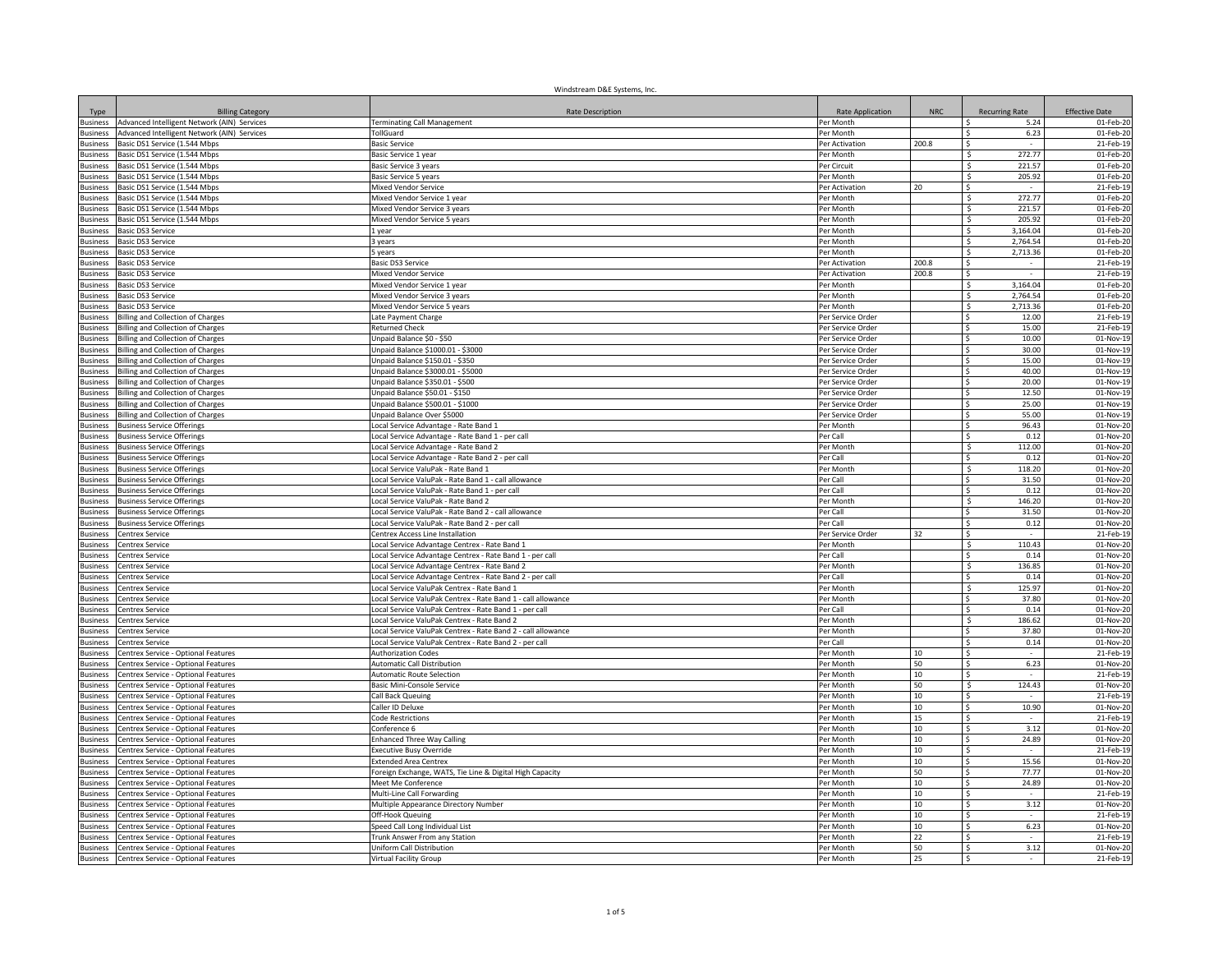|                                    |                                                                            | Windstream D&E Systems, Inc.                                                             |                          |            |                          |                         |
|------------------------------------|----------------------------------------------------------------------------|------------------------------------------------------------------------------------------|--------------------------|------------|--------------------------|-------------------------|
| Type                               | <b>Billing Category</b>                                                    | <b>Rate Description</b>                                                                  | Rate Application         | <b>NRC</b> | <b>Recurring Rate</b>    | <b>Effective Date</b>   |
| <b>Business</b>                    | Advanced Intelligent Network (AIN) Services                                | <b>Terminating Call Management</b>                                                       | Per Month                |            | l S<br>5.24              | 01-Feb-20               |
| <b>Business</b>                    | Advanced Intelligent Network (AIN) Services                                | TollGuard                                                                                | Per Month                |            | 6.23<br>Ŝ.               | 01-Feb-20               |
| <b>Business</b>                    | Basic DS1 Service (1.544 Mbps                                              | Basic Service                                                                            | Per Activation           | 200.8      | 272.77<br>.S             | 21-Feb-19               |
| <b>Business</b><br><b>Business</b> | Basic DS1 Service (1.544 Mbps<br>Basic DS1 Service (1.544 Mbps             | Basic Service 1 year                                                                     | Per Month<br>Per Circuit |            | 221.57<br>Ŝ              | 01-Feb-20<br>01-Feb-20  |
| <b>Business</b>                    | Basic DS1 Service (1.544 Mbps                                              | Basic Service 3 years                                                                    | Per Month                |            | 205.92<br>-S             | 01-Feb-20               |
| usiness                            | Basic DS1 Service (1.544 Mbps                                              | Basic Service 5 years<br><b>Mixed Vendor Service</b>                                     | Per Activation           | 20         | \$.<br>$\sim$            | 21-Feb-19               |
| usiness                            | Basic DS1 Service (1.544 Mbps                                              | Mixed Vendor Service 1 year                                                              | Per Month                |            | 272.77<br>- Ś            | 01-Feb-20               |
| usiness                            | Basic DS1 Service (1.544 Mbps                                              | Mixed Vendor Service 3 years                                                             | Per Month                |            | 221.57<br>$\mathsf{S}$   | 01-Feb-20               |
| usiness                            | Basic DS1 Service (1.544 Mbps                                              | Mixed Vendor Service 5 years                                                             | Per Month                |            | S.<br>205.92             | 01-Feb-20               |
| Business                           | Basic DS3 Service                                                          | L vear                                                                                   | Per Month                |            | 3,164.04<br>$\mathsf{S}$ | 01-Feb-20               |
| <b>Business</b>                    | Basic DS3 Service                                                          | 3 years                                                                                  | Per Month                |            | \$<br>2,764.54           | 01-Feb-20               |
| <b>Business</b>                    | Basic DS3 Service                                                          | 5 years                                                                                  | Per Month                |            | -S<br>2,713.36           | 01-Feb-20               |
| usiness                            | Basic DS3 Service                                                          | Basic DS3 Service                                                                        | Per Activation           | 200.8      | <sub>S</sub>             | 21-Feb-19               |
| usiness                            | Basic DS3 Service                                                          | <b>Mixed Vendor Service</b>                                                              | er Activation            | 200.8      | <sup>\$</sup>            | 21-Feb-19               |
| <b>Business</b>                    | Basic DS3 Service                                                          | Mixed Vendor Service 1 year                                                              | er Month                 |            | 3.164.04<br><b>S</b>     | 01-Feb-20               |
| <b>Business</b>                    | <b>Basic DS3 Service</b>                                                   | Mixed Vendor Service 3 years                                                             | Per Month                |            | 2.764.54<br>-S           | 01-Feb-20               |
| <b>Business</b>                    | Basic DS3 Service                                                          | Mixed Vendor Service 5 years                                                             | Per Month                |            | 2,713.36<br>-Ś           | 01-Feb-20               |
| usiness                            | <b>Billing and Collection of Charges</b>                                   | Late Payment Charge                                                                      | Per Service Order        |            | 12.00<br>-S              | 21-Feb-19               |
| usiness                            | <b>Billing and Collection of Charges</b>                                   | <b>Returned Check</b>                                                                    | Per Service Order        |            | 15.00<br>Ŝ.              | 21-Feb-19               |
| usiness                            | <b>Billing and Collection of Charges</b>                                   | Inpaid Balance \$0 - \$50                                                                | Per Service Order        |            | $\mathsf{s}$<br>10.00    | 01-Nov-19               |
| Business                           | <b>Billing and Collection of Charges</b>                                   | Inpaid Balance \$1000.01 - \$3000                                                        | Per Service Order        |            | $\mathsf{S}$<br>30.00    | 01-Nov-19               |
| <b>Business</b>                    | <b>Billing and Collection of Charges</b>                                   | Jnpaid Balance \$150.01 - \$350                                                          | Per Service Order        |            | <sup>\$</sup><br>15.00   | 01-Nov-19               |
| Business                           | Billing and Collection of Charges                                          | Unpaid Balance \$3000.01 - \$5000                                                        | Per Service Order        |            | 40.00<br>l\$             | 01-Nov-19               |
| <b>Business</b>                    | illing and Collection of Charges                                           | Unpaid Balance \$350.01 - \$500                                                          | Per Service Order        |            | <sub>S</sub><br>20.00    | 01-Nov-19               |
| usiness                            | lling and Collection of Charges                                            | Jnpaid Balance \$50.01 - \$150                                                           | Per Service Order        |            | 12.50<br>.s              | 01-Nov-19               |
| <b>Business</b>                    | <b>Billing and Collection of Charges</b>                                   | Inpaid Balance \$500.01 - \$1000                                                         | Per Service Order        |            | 25.00<br>Ŝ.              | 01-Nov-19               |
| <b>Business</b>                    | <b>Billing and Collection of Charges</b>                                   | Jnpaid Balance Over \$5000                                                               | Per Service Order        |            | 55.00<br>.s              | 01-Nov-19               |
| <b>Business</b>                    | <b>Business Service Offerings</b>                                          | ocal Service Advantage - Rate Band 1                                                     | Per Month                |            | 96.43<br>-\$<br>0.12     | 01-Nov-20<br>01-Nov-20  |
| usiness<br>usiness                 | <b>Business Service Offerings</b><br><b>Business Service Offerings</b>     | Local Service Advantage - Rate Band 1 - per call<br>ocal Service Advantage - Rate Band 2 | Per Call<br>Per Month    |            | l \$<br>112.00<br>-\$    | 01-Nov-20               |
| usiness                            | <b>Business Service Offerings</b>                                          | ocal Service Advantage - Rate Band 2 - per call                                          | Per Call                 |            | $\mathsf{S}$<br>0.12     | 01-Nov-20               |
| usiness                            | <b>Business Service Offerings</b>                                          | ocal Service ValuPak - Rate Band 1                                                       | Per Month                |            | S.<br>118.20             | 01-Nov-20               |
| usiness                            | <b>Business Service Offerings</b>                                          | ocal Service ValuPak - Rate Band 1 - call allowance                                      | Per Call                 |            | $\mathsf{S}$<br>31.50    | 01-Nov-20               |
| <b>Rusiness</b>                    | <b>Business Service Offerings</b>                                          | ocal Service ValuPak - Rate Band 1 - per call                                            | Per Call                 |            | l\$<br>0.12              | 01-Nov-20               |
| <b>Business</b>                    | <b>Business Service Offerings</b>                                          | ocal Service ValuPak - Rate Band 2                                                       | Per Month                |            | s.<br>146.20             | 01-Nov-20               |
| usiness                            | Business Service Offerings                                                 | ocal Service ValuPak - Rate Band 2 - call allowance                                      | Per Cal                  |            | l\$<br>31.50             | 01-Nov-20               |
| usiness                            | <b>Business Service Offerings</b>                                          | ocal Service ValuPak - Rate Band 2 - per call                                            | Per Call                 |            | 0.12<br>-Ŝ               | 01-Nov-20               |
| <b>Business</b>                    | Centrex Service                                                            | entrex Access Line Installation                                                          | Per Service Order        | 32         | <sup>\$</sup>            | 21-Feb-19               |
| <b>Business</b>                    | Centrex Service                                                            | ocal Service Advantage Centrex - Rate Band 1                                             | Per Month                |            | 110.43<br>Š.             | 01-Nov-20               |
| <b>Business</b>                    | Centrex Service                                                            | ocal Service Advantage Centrex - Rate Band 1 - per call                                  | Per Call                 |            | 0.14<br>-Ŝ               | 01-Nov-20               |
| <b>Business</b>                    | Centrex Service                                                            | ocal Service Advantage Centrex - Rate Band 2                                             | Per Month                |            | 136.85<br>-\$            | $\overline{01}$ -Nov-20 |
| usiness                            | Centrex Service                                                            | ocal Service Advantage Centrex - Rate Band 2 - per call                                  | Per Call                 |            | 0.14<br>Ŝ.               | 01-Nov-20               |
| usiness                            | Centrex Service                                                            | ocal Service ValuPak Centrex - Rate Band 1                                               | Per Month                |            | 125.97<br>-Ŝ             | $\overline{01}$ -Nov-20 |
| <b>Business</b>                    | Centrex Service                                                            | ocal Service ValuPak Centrex - Rate Band 1 - call allowance                              | Per Month                |            | Ŝ.<br>37.80              | 01-Nov-20               |
| <b>Business</b>                    | Centrex Service                                                            | ocal Service ValuPak Centrex - Rate Band 1 - per call                                    | Per Call                 |            | <sup>\$</sup><br>0.14    | 01-Nov-20               |
| Business                           | `entrex Service                                                            | ocal Service ValuPak Centrex - Rate Band 2                                               | Per Month                |            | Ś<br>186.62              | 01-Nov-20               |
| <b>Business</b>                    | entrex Service                                                             | ocal Service ValuPak Centrex - Rate Band 2 - call allowance                              | Per Month                |            | $\sim$<br>37.80          | 01-Nov-20               |
| <b>Business</b>                    | entrex Service                                                             | ocal Service ValuPak Centrex - Rate Band 2 - per call                                    | Per Call                 |            | 0.14<br>-Ŝ               | 01-Nov-20               |
| <b>Business</b>                    | Centrex Service - Optional Features                                        | Authorization Codes                                                                      | er Month                 | 10         | <sup>\$</sup>            | 21-Feb-19               |
| <b>Business</b>                    | Centrex Service - Optional Features                                        | <b>Automatic Call Distribution</b>                                                       | Per Month                | 50<br>10   | 6.23<br>۱s               | 01-Nov-20               |
| <b>Business</b>                    | Centrex Service - Optional Features                                        | <b>Automatic Route Selection</b>                                                         | Per Month                | 50         | ۱s<br>124.43             | 21-Feb-19<br>01-Nov-20  |
| usiness<br>usiness                 | Centrex Service - Optional Features<br>Centrex Service - Optional Features | Basic Mini-Console Service<br>Call Back Queuing                                          | Per Month<br>Per Month   | 10         | l \$<br>I\$              | 21-Feb-19               |
| usiness                            | Centrex Service - Optional Features                                        | Caller ID Deluxe                                                                         | Per Month                | 10         | 10.90<br>l \$            | 01-Nov-20               |
| usiness                            | Centrex Service - Optional Features                                        | Code Restrictions                                                                        | Per Month                | 15         | -\$                      | 21-Feb-19               |
| usiness                            | Centrex Service - Optional Features                                        | Conference 6                                                                             | Per Month                | 10         | <sup>s</sup><br>3.12     | 01-Nov-20               |
| Business                           | Centrex Service - Optional Features                                        | <b>Enhanced Three Way Calling</b>                                                        | Per Month                | 10         | ΓŚ.<br>24.89             | 01-Nov-20               |
| <b>Business</b>                    | Centrex Service - Optional Features                                        | <b>Executive Busy Override</b>                                                           | Per Month                | 10         | $\mathsf{S}$             | 21-Feb-19               |
| <b>Business</b>                    | Centrex Service - Optional Features                                        | <b>Extended Area Centrex</b>                                                             | Per Month                | 10         | l\$<br>15.56             | 01-Nov-20               |
| usiness                            | entrex Service - Optional Features                                         | oreign Exchange, WATS, Tie Line & Digital High Capacity                                  | Per Month                | 50         | 77.77<br>.s              | 01-Nov-20               |
| usiness                            | Centrex Service - Optional Features                                        | Meet Me Conference                                                                       | er Month                 | 10         | 24.89<br>Ŝ.              | 01-Nov-20               |
| usiness                            | Centrex Service - Optional Features                                        | Multi-Line Call Forwarding                                                               | er Month                 | 10         | <sup>\$</sup>            | 21-Feb-19               |
| usiness                            | Centrex Service - Optional Features                                        | Multiple Appearance Directory Number                                                     | er Month                 | 10         | 3.12<br><sub>S</sub>     | 01-Nov-20               |
| <b>Business</b>                    | Centrex Service - Optional Features                                        | Off-Hook Queuing                                                                         | Per Month                | 10         | -Ŝ                       | 21-Feb-19               |
| usiness                            | Centrex Service - Optional Features                                        | Speed Call Long Individual List                                                          | Per Month                | 10         | 6.23<br>-Ŝ               | 01-Nov-20               |
| usiness                            | Centrex Service - Optional Features                                        | Trunk Answer From any Station                                                            | Per Month                | 22         | -Ŝ                       | 21-Feb-19               |
| usiness                            | Centrex Service - Optional Features                                        | Uniform Call Distribution                                                                | Per Month                | 50         | 3.12<br><sub>S</sub>     | 01-Nov-20               |
| <b>Business</b>                    | Centrex Service - Optional Features                                        | <b>Virtual Facility Group</b>                                                            | Per Month                | 25         | <b>S</b>                 | 21-Feb-19               |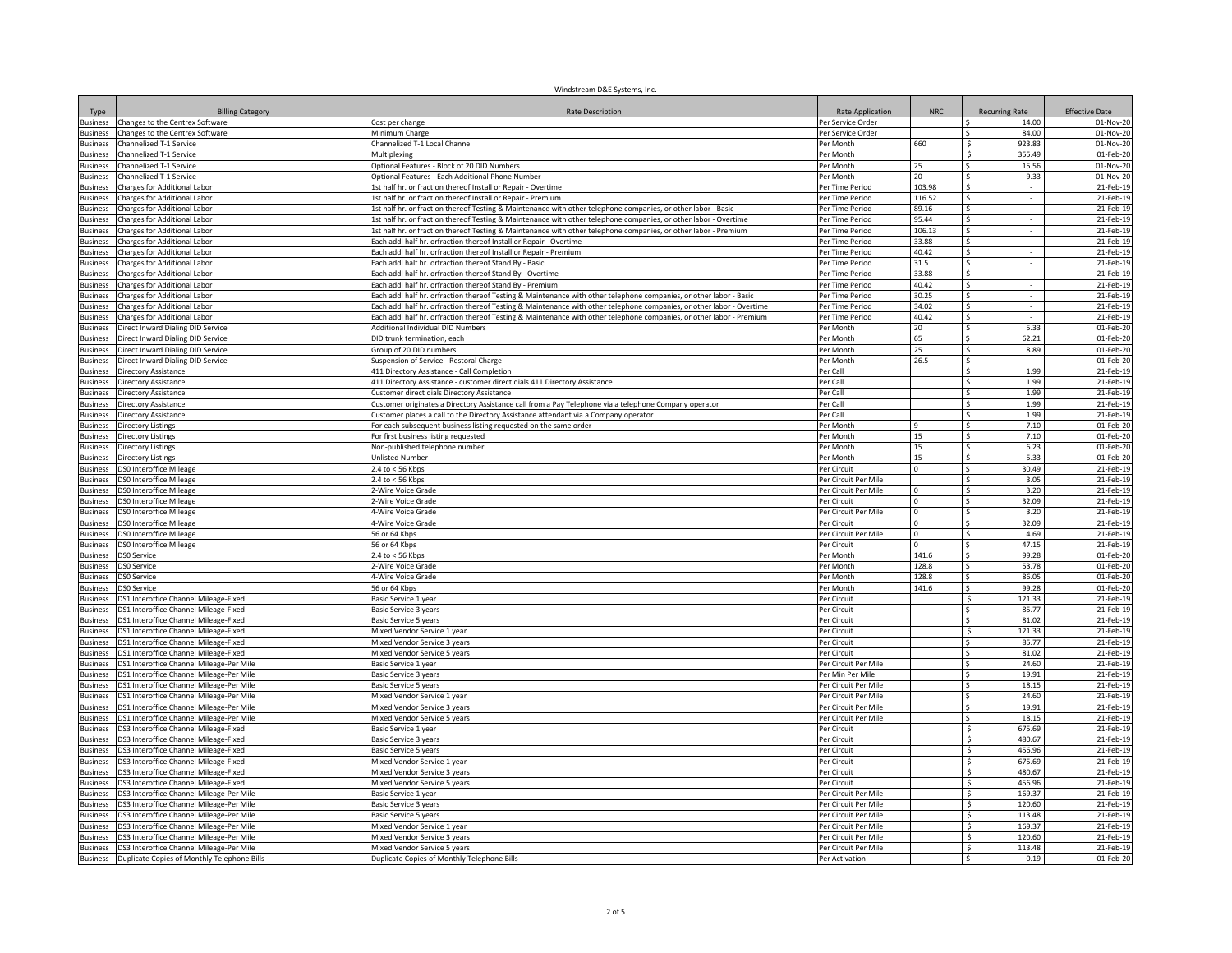| Type                | <b>Billing Category</b>                                   | <b>Rate Description</b>                                                                                               | Rate Application                             | NRC            | <b>Recurring Rate</b>                      | <b>Effective Date</b>  |
|---------------------|-----------------------------------------------------------|-----------------------------------------------------------------------------------------------------------------------|----------------------------------------------|----------------|--------------------------------------------|------------------------|
| <b>Business</b>     | Changes to the Centrex Software                           | Cost per change                                                                                                       | Per Service Order                            |                | 14.00<br>-S                                | 01-Nov-20              |
| <b>Business</b>     | Changes to the Centrex Software                           | Minimum Charge                                                                                                        | Per Service Order                            |                | 84.00                                      | 01-Nov-20              |
| <b>Business</b>     | hannelized T-1 Service                                    | Channelized T-1 Local Channel                                                                                         | Per Month                                    | 660            | 923.83                                     | 01-Nov-20              |
| <b>Business</b>     | hannelized T-1 Service                                    | Multiplexing                                                                                                          | Per Month                                    |                | 355.49                                     | 01-Feb-20              |
| <b>Business</b>     | Channelized T-1 Service                                   | Optional Features - Block of 20 DID Numbers                                                                           | Per Month                                    | 25             | 15.56<br>Ŝ.                                | 01-Nov-20              |
| <b>Business</b>     | Channelized T-1 Service                                   | Optional Features - Each Additional Phone Number                                                                      | Per Month                                    | 20             | 9.33<br>-S                                 | 01-Nov-20              |
| <b>Business</b>     | Charges for Additional Labor                              | 1st half hr. or fraction thereof Install or Repair - Overtime                                                         | Per Time Period                              | 103.98         | \$.<br>$\sim$                              | 21-Feb-19              |
| lusiness            | <b>Charges for Additional Labor</b>                       | 1st half hr. or fraction thereof Install or Repair - Premium                                                          | Per Time Period                              | 116.52         | l S<br>$\sim$                              | 21-Feb-19              |
| usiness             | <b>Charges for Additional Labor</b>                       | 1st half hr. or fraction thereof Testing & Maintenance with other telephone companies, or other labor - Basic         | Per Time Period                              | 89.16          | \$                                         | 21-Feb-19              |
| <b>Business</b>     | <b>Charges for Additional Labor</b>                       | 1st half hr. or fraction thereof Testing & Maintenance with other telephone companies, or other labor - Overtime      | Per Time Period                              | 95.44          | l \$                                       | 21-Feb-19              |
| lusiness            | Charges for Additional Labor                              | 1st half hr. or fraction thereof Testing & Maintenance with other telephone companies, or other labor - Premium       | Per Time Period                              | 106.13         | <sup>s</sup>                               | 21-Feb-19              |
| <b>Business</b>     | Charges for Additional Labor                              | Each addl half hr. orfraction thereof Install or Repair - Overtime                                                    | Per Time Period                              | 33.88          | $\overline{\mathsf{S}}$                    | 21-Feb-19              |
| <b>Business</b>     | Charges for Additional Labor                              | Each addl half hr. orfraction thereof Install or Repair - Premium                                                     | Per Time Period                              | 40.42          | $\overline{\mathsf{s}}$                    | 21-Feb-19              |
| usiness             | harges for Additional Labor                               | ach addl half hr. orfraction thereof Stand By - Basic                                                                 | Per Time Period                              | 31.5           | <sub>S</sub>                               | 21-Feb-19              |
| usiness             | harges for Additional Labor                               | Each addl half hr. orfraction thereof Stand By - Overtime                                                             | Per Time Period                              | 33.88          | <sup>\$</sup>                              | 21-Feb-19              |
| <b>Business</b>     | Charges for Additional Labor                              | Each addl half hr. orfraction thereof Stand By - Premium                                                              | Per Time Period                              | 40.42          | <sup>\$</sup>                              | 21-Feb-19              |
| <b>Business</b>     | Charges for Additional Labor                              | Each addl half hr. orfraction thereof Testing & Maintenance with other telephone companies, or other labor - Basic    | Per Time Period                              | 30.25          | s.<br>$\sim$                               | 21-Feb-19              |
| usiness             | Charges for Additional Labor                              | Each addl half hr. orfraction thereof Testing & Maintenance with other telephone companies, or other labor - Overtime | Per Time Period                              | 34.02          | Ŝ.<br>$\sim$                               | 21-Feb-19              |
| <b>Business</b>     | Charges for Additional Labor                              | Each addl half hr. orfraction thereof Testing & Maintenance with other telephone companies, or other labor - Premium  | Per Time Period                              | 40.42          | \$                                         | 21-Feb-19              |
| usiness             | Direct Inward Dialing DID Service                         | Additional Individual DID Numbers                                                                                     | Per Month                                    | 20             | 5.33<br>Ŝ.                                 | 01-Feb-20              |
| usiness             | Direct Inward Dialing DID Service                         | DID trunk termination, each                                                                                           | Per Month                                    | 65             | $\mathsf{s}$<br>62.21                      | 01-Feb-20              |
| <b>Business</b>     | Direct Inward Dialing DID Service                         | Group of 20 DID numbers                                                                                               | Per Month                                    | 25             | <sub>S</sub><br>8.89                       | 01-Feb-20              |
| <b>Business</b>     | Direct Inward Dialing DID Service                         | Suspension of Service - Restoral Charge                                                                               | Per Month                                    | 26.5           | $\mathsf{S}$                               | 01-Feb-20              |
| <b>Business</b>     | Directory Assistance                                      | 411 Directory Assistance - Call Completion                                                                            | Per Call                                     |                | ΓŚ.<br>1.99                                | 21-Feb-19              |
| <b>Business</b>     | irectory Assistance                                       | 411 Directory Assistance - customer direct dials 411 Directory Assistance                                             | Per Call                                     |                | <sub>S</sub><br>1.99                       | 21-Feb-19              |
| usiness             | irectory Assistance                                       | Customer direct dials Directory Assistance                                                                            | Per Call                                     |                | 1.99<br>Ŝ                                  | 21-Feb-19              |
| <b>Business</b>     | Directory Assistance                                      | Customer originates a Directory Assistance call from a Pay Telephone via a telephone Company operator                 | Per Call                                     |                | 1.99                                       | 21-Feb-19              |
| <b>Business</b>     | Directory Assistance                                      | Customer places a call to the Directory Assistance attendant via a Company operator                                   | Per Call                                     |                | 1.99<br>-Ŝ                                 | 21-Feb-19              |
| <b>Business</b>     | Directory Listings                                        | For each subsequent business listing requested on the same order                                                      | Per Month                                    | 9              | 7.10<br>-Ŝ                                 | 01-Feb-20              |
| <b>Business</b>     | <b>Directory Listings</b>                                 | For first business listing requested                                                                                  | Per Month                                    | 15             | l \$<br>7.10                               | 01-Feb-20              |
| <b>Susiness</b>     | <b>Directory Listings</b>                                 | Non-published telephone number                                                                                        | Per Month<br>Per Month                       | 15             | $\sqrt{2}$<br>6.23<br>5.33<br>$\mathsf{S}$ | 01-Feb-20              |
| usiness             | <b>Directory Listings</b>                                 | <b>Unlisted Number</b>                                                                                                | Per Circuit                                  | 15<br>$\Omega$ |                                            | 01-Feb-20              |
| usiness<br>lusiness | DS0 Interoffice Mileage<br><b>DSO Interoffice Mileage</b> | 2.4 to < 56 Kbps                                                                                                      |                                              |                | l\$<br>30.49<br>$\mathsf{S}$<br>3.05       | 21-Feb-19              |
| lusiness            | <b>DSO Interoffice Mileage</b>                            | 2.4 to < 56 Kbps<br>2-Wire Voice Grade                                                                                | Per Circuit Per Mile<br>Per Circuit Per Mile | $\Omega$       | ΓŚ.<br>3.20                                | 21-Feb-19<br>21-Feb-19 |
| <b>Business</b>     |                                                           |                                                                                                                       |                                              | $\Omega$       | $\mathsf{S}$<br>32.09                      | 21-Feb-19              |
|                     | DS0 Interoffice Mileage<br>S0 Interoffice Mileage         | 2-Wire Voice Grade<br>4-Wire Voice Grade                                                                              | Per Circuit<br>Per Circuit Per Mile          | $\Omega$       | <sup>\$</sup><br>3.20                      | 21-Feb-19              |
| usiness<br>usiness  | S0 Interoffice Mileage                                    | 4-Wire Voice Grade                                                                                                    | Per Circuit                                  | $\mathbf 0$    | 32.09<br>Ŝ.                                | 21-Feb-19              |
| <b>Business</b>     | <b>DSO Interoffice Mileage</b>                            | 56 or 64 Kbps                                                                                                         | Per Circuit Per Mile                         | n              | 4.69                                       | 21-Feb-19              |
| <b>Business</b>     | <b>DSO Interoffice Mileage</b>                            | 56 or 64 Kbps                                                                                                         | Per Circuit                                  |                | 47.15<br>Ŝ.                                | 21-Feb-19              |
| <b>Business</b>     | <b>DSO Service</b>                                        | 2.4 to < 56 Kbps                                                                                                      | Per Month                                    | 141.6          | 99.28<br>Ŝ.                                | 01-Feb-20              |
| <b>Business</b>     | <b>DSO Service</b>                                        | 2-Wire Voice Grade                                                                                                    | Per Month                                    | 128.8          | 53.78<br>∣\$                               | 01-Feb-20              |
| <b>Susiness</b>     | DS0 Service                                               | 4-Wire Voice Grade                                                                                                    | Per Month                                    | 128.8          | 86.05<br>Ŝ.                                | 01-Feb-20              |
| usiness             | <b>DS0 Service</b>                                        | 56 or 64 Kbps                                                                                                         | Per Month                                    | 141.6          | 99.28<br>Ŝ.                                | 01-Feb-20              |
| <b>Business</b>     | DS1 Interoffice Channel Mileage-Fixed                     | Basic Service 1 year                                                                                                  | Per Circuit                                  |                | Ŝ.<br>121.33                               | 21-Feb-19              |
| <b>Business</b>     | DS1 Interoffice Channel Mileage-Fixed                     | Basic Service 3 years                                                                                                 | Per Circuit                                  |                | $\mathsf{s}$<br>85.77                      | 21-Feb-19              |
| <b>Business</b>     | OS1 Interoffice Channel Mileage-Fixed                     | Basic Service 5 years                                                                                                 | Per Circuit                                  |                | $\hat{\zeta}$<br>81.02                     | 21-Feb-19              |
| <b>Business</b>     | DS1 Interoffice Channel Mileage-Fixed                     | Mixed Vendor Service 1 year                                                                                           | Per Circuit                                  |                | -S<br>121.33                               | 21-Feb-19              |
| <b>Business</b>     | 0S1 Interoffice Channel Mileage-Fixed                     | Mixed Vendor Service 3 years                                                                                          | Per Circuit                                  |                | 85.77<br>.s                                | 21-Feb-19              |
| <b>Business</b>     | <b>DS1 Interoffice Channel Mileage-Fixed</b>              | Mixed Vendor Service 5 years                                                                                          | Per Circuit                                  |                | 81.02                                      | 21-Feb-19              |
| <b>Business</b>     | DS1 Interoffice Channel Mileage-Per Mile                  | Basic Service 1 year                                                                                                  | Per Circuit Per Mile                         |                | 24.60<br>Ŝ.                                | 21-Feb-19              |
| <b>Business</b>     | DS1 Interoffice Channel Mileage-Per Mile                  | Basic Service 3 years                                                                                                 | Per Min Per Mile                             |                | 19.91<br>Ŝ.                                | 21-Feb-19              |
| Business            | DS1 Interoffice Channel Mileage-Per Mile                  | <b>Basic Service 5 years</b>                                                                                          | Per Circuit Per Mile                         |                | 18.15<br>∣\$                               | 21-Feb-19              |
| <b>Business</b>     | DS1 Interoffice Channel Mileage-Per Mile                  | Mixed Vendor Service 1 year                                                                                           | Per Circuit Per Mile                         |                | ∣\$<br>24.60                               | 21-Feb-19              |
| usiness             | DS1 Interoffice Channel Mileage-Per Mile                  | Mixed Vendor Service 3 years                                                                                          | Per Circuit Per Mile                         |                | 19.91<br>l \$                              | 21-Feb-19              |
| usiness             | DS1 Interoffice Channel Mileage-Per Mile                  | Mixed Vendor Service 5 years                                                                                          | Per Circuit Per Mile                         |                | $\sim$<br>18.15                            | 21-Feb-19              |
| <b>Business</b>     | DS3 Interoffice Channel Mileage-Fixed                     | Basic Service 1 year                                                                                                  | Per Circuit                                  |                | S.<br>675.69                               | 21-Feb-19              |
| lusiness            | DS3 Interoffice Channel Mileage-Fixed                     | Basic Service 3 vears                                                                                                 | Per Circuit                                  |                | $\overline{\mathsf{s}}$<br>480.67          | 21-Feb-19              |
| <b>Business</b>     | DS3 Interoffice Channel Mileage-Fixed                     | Basic Service 5 years                                                                                                 | Per Circuit                                  |                | $\overline{\mathsf{s}}$<br>456.96          | 21-Feb-19              |
| <b>Business</b>     | DS3 Interoffice Channel Mileage-Fixed                     | Mixed Vendor Service 1 year                                                                                           | Per Circuit                                  |                | - Ś<br>675.69                              | 21-Feb-19              |
| usiness             | S3 Interoffice Channel Mileage-Fixed                      | Mixed Vendor Service 3 years                                                                                          | Per Circuit                                  |                | 480.67<br>Ŝ                                | 21-Feb-19              |
| <b>Business</b>     | S3 Interoffice Channel Mileage-Fixed                      | Mixed Vendor Service 5 years                                                                                          | Per Circuit                                  |                | 456.96<br><b>S</b>                         | 21-Feb-19              |
| <b>Business</b>     | 0S3 Interoffice Channel Mileage-Per Mile                  | Basic Service 1 year                                                                                                  | Per Circuit Per Mile                         |                | 169.37<br>Š.                               | 21-Feb-19              |
| <b>Business</b>     | OS3 Interoffice Channel Mileage-Per Mile                  | Basic Service 3 years                                                                                                 | Per Circuit Per Mile                         |                | 120.60<br>Ŝ.                               | 21-Feb-19              |
| <b>Business</b>     | DS3 Interoffice Channel Mileage-Per Mile                  | Basic Service 5 years                                                                                                 | Per Circuit Per Mile                         |                | 113.48<br>Ŝ                                | 21-Feb-19              |
| lusiness            | OS3 Interoffice Channel Mileage-Per Mile                  | Mixed Vendor Service 1 year                                                                                           | Per Circuit Per Mile                         |                | 169.37<br>Ŝ.                               | 21-Feb-19              |
| lusiness            | DS3 Interoffice Channel Mileage-Per Mile                  | Mixed Vendor Service 3 years                                                                                          | Per Circuit Per Mile                         |                | Ŝ<br>120.60                                | 21-Feb-19              |
| <b>Business</b>     | DS3 Interoffice Channel Mileage-Per Mile                  | Mixed Vendor Service 5 years                                                                                          | Per Circuit Per Mile                         |                | Ŝ.<br>113.48                               | 21-Feb-19              |
| <b>Business</b>     | Duplicate Copies of Monthly Telephone Bills               | Duplicate Copies of Monthly Telephone Bills                                                                           | Per Activation                               |                | <b>S</b><br>0.19                           | 01-Feb-20              |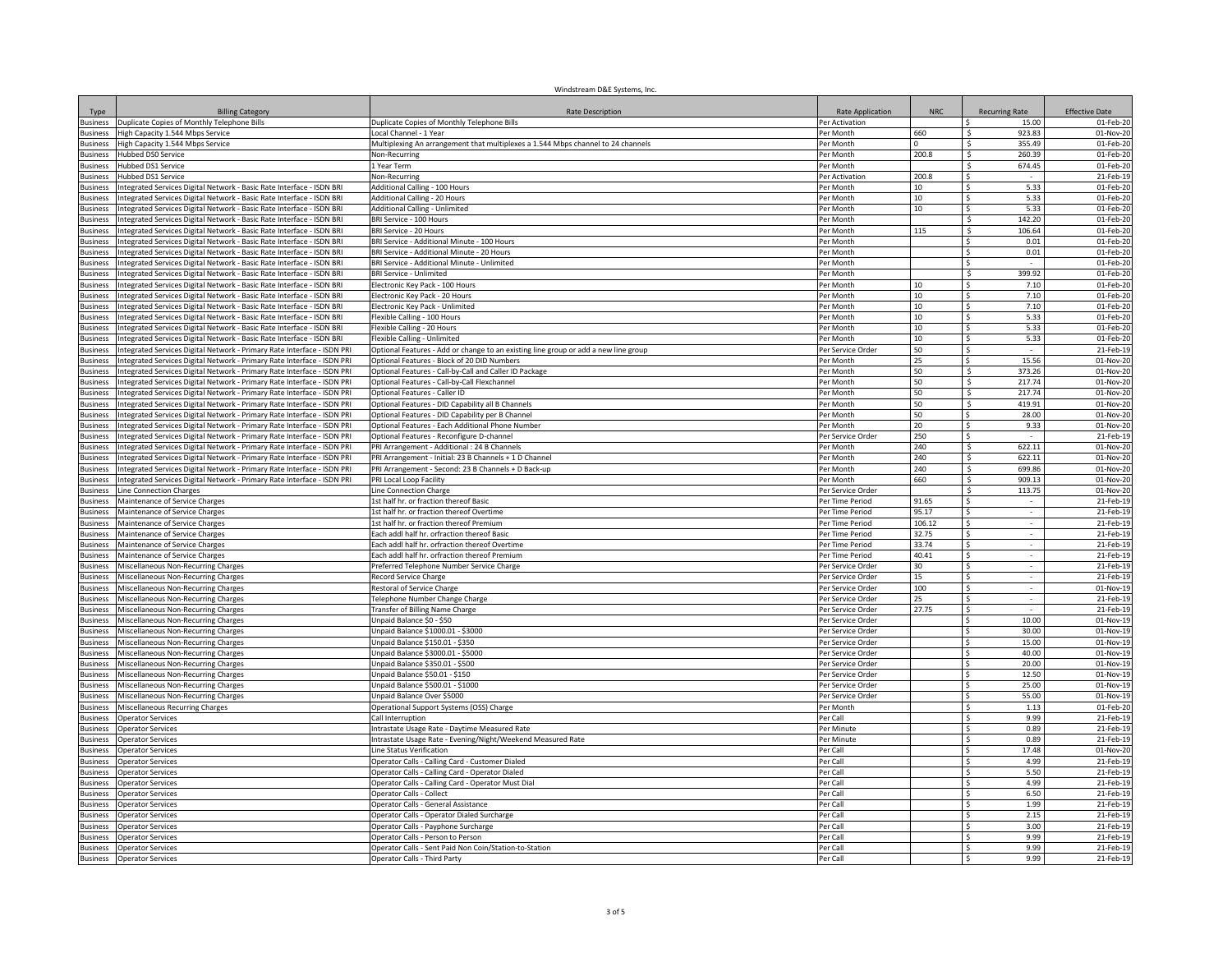|                                    |                                                                                                                                                | Windstream D&E Systems, Inc.                                                        |                                        |            |                                 |                        |
|------------------------------------|------------------------------------------------------------------------------------------------------------------------------------------------|-------------------------------------------------------------------------------------|----------------------------------------|------------|---------------------------------|------------------------|
| Type                               | <b>Billing Category</b>                                                                                                                        | <b>Rate Description</b>                                                             | Rate Application                       | <b>NRC</b> | <b>Recurring Rate</b>           | <b>Effective Date</b>  |
| Business                           | Duplicate Copies of Monthly Telephone Bills                                                                                                    | Duplicate Copies of Monthly Telephone Bills                                         | Per Activation                         |            | 15.00                           | 01-Feb-20              |
| <b>Business</b>                    | High Capacity 1.544 Mbps Service                                                                                                               | ocal Channel - 1 Year                                                               | Per Month                              | 660        | 923.83                          | 01-Nov-20              |
| usiness                            | High Capacity 1.544 Mbps Service                                                                                                               | Multiplexing An arrangement that multiplexes a 1.544 Mbps channel to 24 channels    | Per Month                              |            | 355.49                          | 01-Feb-20              |
| usiness                            | Hubbed DS0 Service                                                                                                                             | Non-Recurring                                                                       | Per Month                              | 200.8      | 260.39<br>-Ŝ                    | 01-Feb-20              |
| <b>Business</b>                    | Hubbed DS1 Service                                                                                                                             | l Year Term                                                                         | Per Month                              |            | 674.45<br>-S                    | 01-Feb-20              |
| <b>Business</b>                    | Hubbed DS1 Service                                                                                                                             | Non-Recurring                                                                       | Per Activation                         | 200.8      | - Ś<br>$\sim$                   | 21-Feb-19              |
| <b>Business</b>                    | Integrated Services Digital Network - Basic Rate Interface - ISDN BRI                                                                          | Additional Calling - 100 Hours                                                      | Per Month                              | 10         | 5.33<br>-Ś                      | 01-Feb-20              |
| <b>Business</b>                    | Integrated Services Digital Network - Basic Rate Interface - ISDN BRI                                                                          | <b>Additional Calling - 20 Hours</b>                                                | Per Month                              | 10         | 5.33                            | 01-Feb-20              |
| lusiness                           | Integrated Services Digital Network - Basic Rate Interface - ISDN BRI                                                                          | <b>Additional Calling - Unlimited</b>                                               | Per Month                              | 10         | $\mathsf{\hat{S}}$<br>5.33      | 01-Feb-20              |
| <b>Business</b>                    | Integrated Services Digital Network - Basic Rate Interface - ISDN BRI                                                                          | BRI Service - 100 Hours                                                             | Per Month                              |            | S.<br>142.20                    | 01-Feb-20              |
| 3usiness                           | Integrated Services Digital Network - Basic Rate Interface - ISDN BRI                                                                          | BRI Service - 20 Hours                                                              | Per Month                              | 115        | 106.64                          | 01-Feb-20              |
| 3usiness                           | ntegrated Services Digital Network - Basic Rate Interface - ISDN BRI                                                                           | BRI Service - Additional Minute - 100 Hours                                         | Per Month                              |            | $\mathsf{\hat{S}}$<br>0.01      | 01-Feb-20              |
| <b>Business</b>                    | Integrated Services Digital Network - Basic Rate Interface - ISDN BRI                                                                          | BRI Service - Additional Minute - 20 Hours                                          | Per Month                              |            | 0.01<br>-Ś                      | 01-Feb-20              |
| usiness<br>lusiness                | Integrated Services Digital Network - Basic Rate Interface - ISDN BRI<br>Integrated Services Digital Network - Basic Rate Interface - ISDN BRI | BRI Service - Additional Minute - Unlimited<br><b>BRI Service - Unlimited</b>       | Per Month<br>Per Month                 |            | 399.92<br>Ŝ.                    | 01-Feb-20<br>01-Feb-20 |
| <b>Business</b>                    |                                                                                                                                                |                                                                                     | Per Month                              | 10         | 7.10<br>-Ś                      | 01-Feb-20              |
| 3usiness                           | Integrated Services Digital Network - Basic Rate Interface - ISDN BRI<br>Integrated Services Digital Network - Basic Rate Interface - ISDN BRI | Electronic Key Pack - 100 Hours<br>Electronic Key Pack - 20 Hours                   | Per Month                              | 10         | 7.10<br>۱s                      | 01-Feb-20              |
| <b>Business</b>                    | Integrated Services Digital Network - Basic Rate Interface - ISDN BRI                                                                          | Electronic Key Pack - Unlimited                                                     | Per Month                              | 10         | 7.10<br>-\$                     | 01-Feb-20              |
| <b>Business</b>                    | Integrated Services Digital Network - Basic Rate Interface - ISDN BRI                                                                          | Flexible Calling - 100 Hours                                                        | Per Month                              | 10         | 5.33<br>-Ś                      | 01-Feb-20              |
| usiness                            | ntegrated Services Digital Network - Basic Rate Interface - ISDN BRI                                                                           | Flexible Calling - 20 Hours                                                         | Per Month                              | 10         | $\mathsf{\hat{S}}$<br>5.33      | 01-Feb-20              |
| <b>Business</b>                    | Integrated Services Digital Network - Basic Rate Interface - ISDN BRI                                                                          | Flexible Calling - Unlimited                                                        | Per Month                              | 10         | 5.33<br>$\mathsf{\hat{S}}$      | 01-Feb-20              |
| Busines:                           | ntegrated Services Digital Network - Primary Rate Interface - ISDN PRI                                                                         | Optional Features - Add or change to an existing line group or add a new line group | Per Service Order                      | 50         | $\mathsf{S}$                    | 21-Feb-19              |
| <b>Business</b>                    | ntegrated Services Digital Network - Primary Rate Interface - ISDN PRI                                                                         | Optional Features - Block of 20 DID Numbers                                         | Per Month                              | 25         | $\mathsf{S}$<br>15.56           | 01-Nov-20              |
| <b>Business</b>                    | ntegrated Services Digital Network - Primary Rate Interface - ISDN PRI                                                                         | Optional Features - Call-by-Call and Caller ID Package                              | Per Month                              | 50         | - S<br>373.26                   | 01-Nov-20              |
| usiness                            | ntegrated Services Digital Network - Primary Rate Interface - ISDN PRI                                                                         | Optional Features - Call-by-Call Flexchannel                                        | Per Month                              | 50         | 217.74                          | 01-Nov-20              |
| usiness                            | ntegrated Services Digital Network - Primary Rate Interface - ISDN PRI                                                                         | Optional Features - Caller ID                                                       | Per Month                              | 50         | 217.74                          | 01-Nov-20              |
| <b>Business</b>                    | Integrated Services Digital Network - Primary Rate Interface - ISDN PRI                                                                        | Optional Features - DID Capability all B Channels                                   | Per Month                              | 50         | 419.91<br>S.                    | 01-Nov-20              |
| <b>Business</b>                    | Integrated Services Digital Network - Primary Rate Interface - ISDN PRI                                                                        | Optional Features - DID Capability per B Channel                                    | Per Month                              | 50         | 28.00<br>l \$                   | $01-Nov-20$            |
| <b>Business</b>                    | Integrated Services Digital Network - Primary Rate Interface - ISDN PRI                                                                        | Optional Features - Each Additional Phone Number                                    | Per Month                              | 20         | 9.33<br>-\$                     | 01-Nov-20              |
| <b>Business</b>                    | Integrated Services Digital Network - Primary Rate Interface - ISDN PRI                                                                        | Optional Features - Reconfigure D-channel                                           | Per Service Order                      | 250        | ۱s                              | 21-Feb-19              |
| lusiness                           | Integrated Services Digital Network - Primary Rate Interface - ISDN PRI                                                                        | PRI Arrangement - Additional : 24 B Channels                                        | Per Month                              | 240        | 622.11<br>- S                   | 01-Nov-20              |
| lusiness                           | Integrated Services Digital Network - Primary Rate Interface - ISDN PRI                                                                        | PRI Arrangement - Initial: 23 B Channels + 1 D Channel                              | Per Month                              | 240        | 622.11<br>$\mathsf{S}$          | 01-Nov-20              |
| <b>Business</b>                    | Integrated Services Digital Network - Primary Rate Interface - ISDN PRI                                                                        | PRI Arrangement - Second: 23 B Channels + D Back-up                                 | Per Month                              | 240        | 699.86<br>$\mathsf{S}$          | 01-Nov-20              |
| <b>Business</b>                    | Integrated Services Digital Network - Primary Rate Interface - ISDN PRI                                                                        | PRI Local Loop Facility                                                             | Per Month                              | 660        | Ŝ.<br>909.13                    | 01-Nov-20              |
| <b>Business</b>                    | ine Connection Charges                                                                                                                         | Line Connection Charge                                                              | Per Service Order                      |            | 113.75<br>- S                   | 01-Nov-20              |
| <b>Business</b>                    | Maintenance of Service Charges                                                                                                                 | st half hr. or fraction thereof Basic                                               | Per Time Period                        | 91.65      |                                 | 21-Feb-19              |
| usiness                            | Maintenance of Service Charges                                                                                                                 | st half hr. or fraction thereof Overtime                                            | Per Time Period                        | 95.17      |                                 | 21-Feb-19              |
| usiness                            | Maintenance of Service Charges                                                                                                                 | 1st half hr. or fraction thereof Premium                                            | Per Time Period                        | 106.12     | -Ŝ                              | 21-Feb-19              |
| <b>Business</b>                    | Maintenance of Service Charges                                                                                                                 | Each addl half hr. orfraction thereof Basic                                         | Per Time Period                        | 32.75      | $\ddot{\mathsf{s}}$             | 21-Feb-19              |
| <b>Business</b>                    | Maintenance of Service Charges                                                                                                                 | Each addl half hr. orfraction thereof Overtime                                      | Per Time Period                        | 33.74      | Ŝ.                              | 21-Feb-19              |
| <b>Business</b>                    | Maintenance of Service Charges                                                                                                                 | Each addl half hr. orfraction thereof Premium                                       | Per Time Period                        | 40.41      | l S<br>$\sim$                   | 21-Feb-19              |
| usines:                            | Miscellaneous Non-Recurring Charges                                                                                                            | Preferred Telephone Number Service Charge                                           | Per Service Orde                       | 30         | - Ś                             | 21-Feb-19              |
| usiness                            | Miscellaneous Non-Recurring Charges                                                                                                            | Record Service Charge                                                               | Per Service Order                      | 15         | Ŝ.                              | 21-Feb-19              |
| <b>Business</b>                    | Miscellaneous Non-Recurring Charges                                                                                                            | Restoral of Service Charge                                                          | Per Service Order                      | 100<br>25  | <b>S</b><br>$\hat{\zeta}$       | 01-Nov-19<br>21-Feb-19 |
| Busines:                           | Miscellaneous Non-Recurring Charges                                                                                                            | elephone Number Change Charge                                                       | Per Service Order                      | 27.75      | <sup>s</sup>                    |                        |
| <b>Business</b><br><b>Business</b> | Miscellaneous Non-Recurring Charges<br><b>Miscellaneous Non-Recurring Charges</b>                                                              | Transfer of Billing Name Charge<br>Unpaid Balance \$0 - \$50                        | Per Service Order<br>Per Service Order |            | 10.00                           | 21-Feb-19<br>01-Nov-19 |
| usiness                            | <b>Miscellaneous Non-Recurring Charges</b>                                                                                                     | Unpaid Balance \$1000.01 - \$3000                                                   | Per Service Order                      |            | 30.00                           | 01-Nov-19              |
| <b>Business</b>                    | Miscellaneous Non-Recurring Charges                                                                                                            | Unpaid Balance \$150.01 - \$350                                                     | Per Service Order                      |            | 15.00<br>l S                    | 01-Nov-19              |
| <b>Business</b>                    | Miscellaneous Non-Recurring Charges                                                                                                            | Unpaid Balance \$3000.01 - \$5000                                                   | Per Service Order                      |            | 40.00<br>∣\$                    | 01-Nov-19              |
| 3usiness                           | Miscellaneous Non-Recurring Charges                                                                                                            | Unpaid Balance \$350.01 - \$500                                                     | Per Service Order                      |            | 20.00<br>l \$                   | 01-Nov-19              |
| <b>Business</b>                    | Miscellaneous Non-Recurring Charges                                                                                                            | Unpaid Balance \$50.01 - \$150                                                      | Per Service Order                      |            | 12.50<br>l \$                   | 01-Nov-19              |
| usiness                            | Miscellaneous Non-Recurring Charges                                                                                                            | Unpaid Balance \$500.01 - \$1000                                                    | Per Service Order                      |            | 25.00<br>$\mathsf{\hat{S}}$     | 01-Nov-19              |
| usiness                            | Miscellaneous Non-Recurring Charges                                                                                                            | Unpaid Balance Over \$5000                                                          | Per Service Order                      |            | $\mathsf{\hat{S}}$<br>55.00     | 01-Nov-19              |
| lusiness                           | Miscellaneous Recurring Charges                                                                                                                | Operational Support Systems (OSS) Charge                                            | Per Month                              |            | 1.13<br>$\hat{\varsigma}$       | 01-Feb-20              |
| <b>Business</b>                    | Operator Services                                                                                                                              | Call Interruption                                                                   | Per Call                               |            | 9.99<br>$\mathsf{\hat{S}}$      | 21-Feb-19              |
| <b>Business</b>                    | Operator Services                                                                                                                              | Intrastate Usage Rate - Daytime Measured Rate                                       | Per Minute                             |            | 0.89<br>Ŝ.                      | 21-Feb-19              |
| <b>Business</b>                    | Operator Services                                                                                                                              | Intrastate Usage Rate - Evening/Night/Weekend Measured Rate                         | Per Minute                             |            | -Ŝ<br>0.89                      | 21-Feb-19              |
| lusiness                           | <b>Derator Services</b>                                                                                                                        | ine Status Verification                                                             | Per Call                               |            | 17.48<br>\$                     | 01-Nov-20              |
| usiness                            | <b>Operator Services</b>                                                                                                                       | Operator Calls - Calling Card - Customer Dialed                                     | Per Call                               |            | 4.99                            | 21-Feb-19              |
| lusiness                           | <b>Operator Services</b>                                                                                                                       | Operator Calls - Calling Card - Operator Dialed                                     | Per Call                               |            | 5.50<br><b>S</b>                | 21-Feb-19              |
| <b>Business</b>                    | <b>Operator Services</b>                                                                                                                       | Operator Calls - Calling Card - Operator Must Dial                                  | Per Call                               |            | 4.99<br>-Ŝ                      | 21-Feb-19              |
| <b>Business</b>                    | <b>Operator Services</b>                                                                                                                       | Operator Calls - Collect                                                            | Per Call                               |            | 6.50<br>-\$                     | 21-Feb-19              |
| <b>Business</b>                    | <b>Operator Services</b>                                                                                                                       | Operator Calls - General Assistance                                                 | Per Call                               |            | 1.99<br>-Ŝ                      | 21-Feb-19              |
| usiness                            | <b>Operator Services</b>                                                                                                                       | Operator Calls - Operator Dialed Surcharge                                          | Per Call                               |            | 2.15<br>-Ŝ                      | 21-Feb-19              |
| lusiness                           | <b>Operator Services</b>                                                                                                                       | Operator Calls - Payphone Surcharge                                                 | Per Call                               |            | 3.00<br>$\hat{\varsigma}$       | 21-Feb-19              |
| <b>Business</b>                    | <b>Operator Services</b>                                                                                                                       | Operator Calls - Person to Person                                                   | Per Call                               |            | 9.99<br>l S<br>9.99<br><b>S</b> | 21-Feb-19              |
| <b>Business</b>                    | <b>Operator Services</b>                                                                                                                       | Operator Calls - Sent Paid Non Coin/Station-to-Station                              | Per Call<br>Per Call                   |            | <b>S</b><br>9.99                | 21-Feb-19<br>21-Feb-19 |
| <b>Business</b>                    | <b>Operator Services</b>                                                                                                                       | Operator Calls - Third Party                                                        |                                        |            |                                 |                        |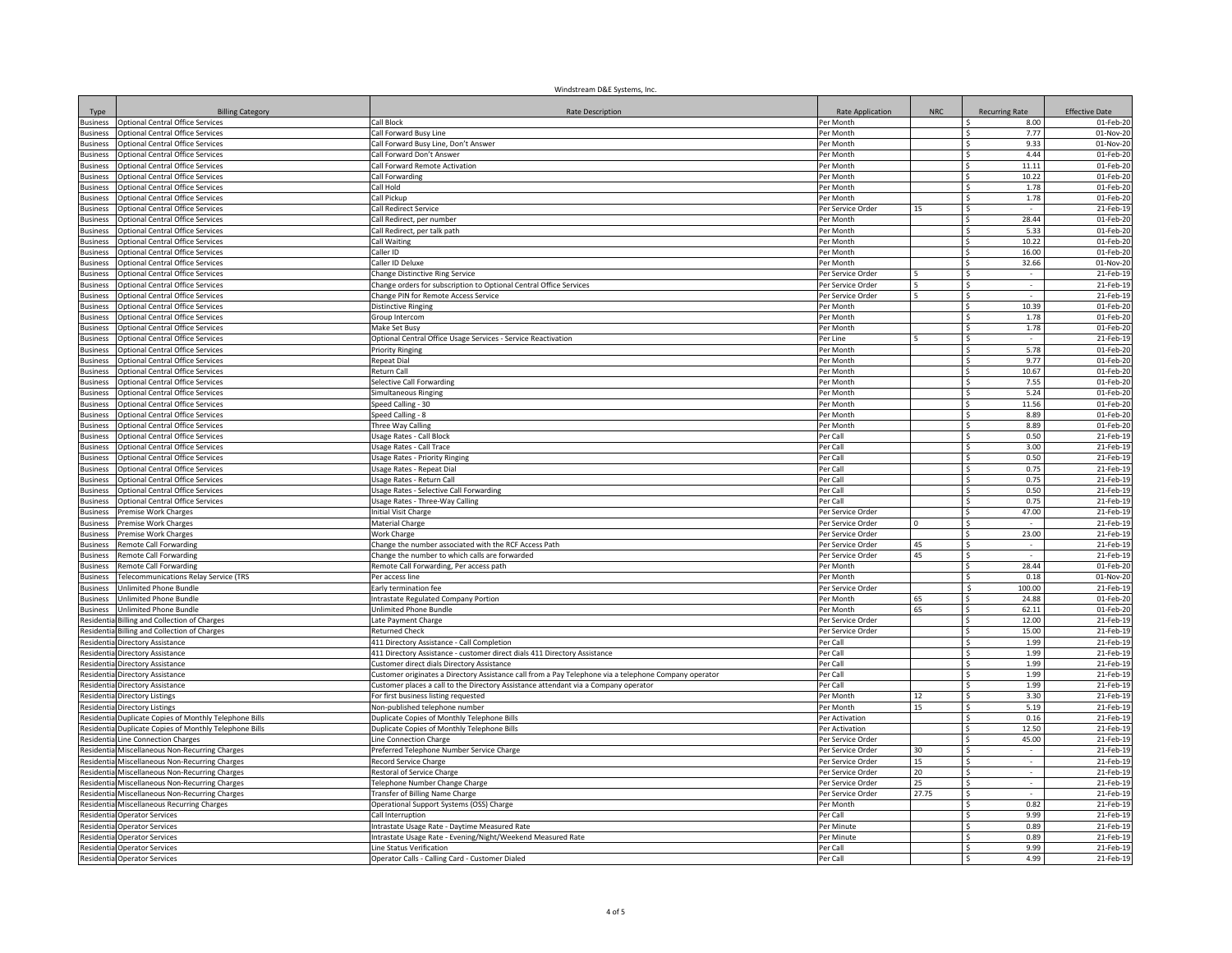|                                    |                                                                                    | Windstream D&E Systems, Inc.                                                                          |                         |            |                              |                        |
|------------------------------------|------------------------------------------------------------------------------------|-------------------------------------------------------------------------------------------------------|-------------------------|------------|------------------------------|------------------------|
| Type                               | <b>Billing Category</b>                                                            | <b>Rate Description</b>                                                                               | <b>Rate Application</b> | <b>NRC</b> | <b>Recurring Rate</b>        | <b>Effective Date</b>  |
| <b>Business</b>                    | <b>Optional Central Office Services</b>                                            | Call Block                                                                                            | Per Month               |            | l S<br>8.00                  | 01-Feb-20              |
| <b>Business</b>                    | Optional Central Office Services                                                   | Call Forward Busy Line                                                                                | Per Month               |            | 7.77<br>Ŝ.                   | 01-Nov-20              |
| <b>Business</b>                    | Optional Central Office Services                                                   | all Forward Busy Line, Don't Answer                                                                   | Per Month               |            | 9.33                         | 01-Nov-20              |
| <b>Business</b>                    | <b>Optional Central Office Services</b>                                            | Call Forward Don't Answer                                                                             | Per Month               |            | 4.44<br>Ŝ.                   | 01-Feb-20              |
| <b>Business</b>                    | Optional Central Office Services                                                   | Call Forward Remote Activation                                                                        | Per Month               |            | 11.11<br>\$<br>10.22         | 01-Feb-20<br>01-Feb-20 |
| <b>Business</b><br><b>Business</b> | <b>Optional Central Office Services</b><br><b>Optional Central Office Services</b> | Call Forwarding<br>Call Hold                                                                          | Per Month<br>Per Month  |            | Ŝ.<br>1.78<br>-Ŝ             | 01-Feb-20              |
| susiness                           | Optional Central Office Services                                                   | Call Pickup                                                                                           | Per Month               |            | 1.78<br>Ŝ.                   | 01-Feb-20              |
| <b>Business</b>                    | Optional Central Office Services                                                   | Call Redirect Service                                                                                 | Per Service Order       | 15         | \$.                          | 21-Feb-19              |
| <b>Business</b>                    | <b>Optional Central Office Services</b>                                            | Call Redirect, per number                                                                             | Per Month               |            | $\mathsf{S}$<br>28.44        | 01-Feb-20              |
| <b>Business</b>                    | Optional Central Office Services                                                   | Call Redirect, per talk path                                                                          | Per Month               |            | 5.33<br>\$                   | 01-Feb-20              |
| <b>Business</b>                    | Optional Central Office Services                                                   | Call Waiting                                                                                          | Per Month               |            | $\mathsf{S}$<br>10.22        | 01-Feb-20              |
| usiness                            | Optional Central Office Services                                                   | Caller ID                                                                                             | Per Month               |            | <sub>S</sub><br>16.00        | 01-Feb-20              |
| lusiness                           | ptional Central Office Services                                                    | Caller ID Deluxe                                                                                      | Per Month               |            | \$<br>32.66                  | 01-Nov-20              |
| <b>Business</b>                    | Optional Central Office Services                                                   | Change Distinctive Ring Service                                                                       | Per Service Order       |            | Ś                            | 21-Feb-19              |
| <b>Business</b>                    | Optional Central Office Services                                                   | Change orders for subscription to Optional Central Office Services                                    | Per Service Order       |            | S.                           | 21-Feb-19              |
| <b>Business</b>                    | <b>Optional Central Office Services</b>                                            | Change PIN for Remote Access Service                                                                  | Per Service Order       |            | S                            | 21-Feb-19              |
| Business                           | Optional Central Office Services                                                   | <b>Distinctive Ringing</b>                                                                            | Per Month               |            | ∣\$<br>10.39                 | 01-Feb-20              |
| <b>Business</b>                    | Optional Central Office Services                                                   | Group Intercom                                                                                        | Per Month               |            | 1.78<br>-Ŝ                   | 01-Feb-20              |
| lusiness                           | <b>Optional Central Office Services</b>                                            | Make Set Busy                                                                                         | Per Month               |            | 1.78<br><sup>\$</sup>        | 01-Feb-20              |
| <b>Business</b>                    | <b>Optional Central Office Services</b>                                            | Optional Central Office Usage Services - Service Reactivation                                         | Per Line                |            | <sup>s</sup>                 | 21-Feb-19              |
| <b>Business</b>                    | Optional Central Office Services                                                   | <b>Priority Ringing</b>                                                                               | Per Month               |            | 5.78<br>l S                  | 01-Feb-20              |
| <b>Business</b>                    | Optional Central Office Services                                                   | Repeat Dial                                                                                           | Per Month               |            | <sup>s</sup><br>9.77         | 01-Feb-20              |
| <b>Business</b>                    | Optional Central Office Services                                                   | Return Call                                                                                           | Per Month               |            | 10.67<br>l \$                | 01-Feb-20              |
| <b>Business</b>                    | Optional Central Office Services                                                   | Selective Call Forwarding                                                                             | Per Month               |            | 7.55<br><sup>\$</sup>        | 01-Feb-20              |
| <b>Business</b>                    | Optional Central Office Services                                                   | Simultaneous Ringing                                                                                  | Per Month               |            | 5.24                         | 01-Feb-20              |
| <b>Business</b>                    | Optional Central Office Services                                                   | Speed Calling - 30                                                                                    | Per Month               |            | 11.56<br>Ŝ.                  | 01-Feb-20              |
| <b>Business</b>                    | Optional Central Office Services                                                   | Speed Calling - 8                                                                                     | Per Month               |            | 8.89<br>۱s                   | 01-Feb-20              |
| <b>Business</b>                    | Optional Central Office Services                                                   | Three Way Calling                                                                                     | Per Month               |            | I\$<br>8.89                  | 01-Feb-20              |
| lusiness                           | Optional Central Office Services                                                   | <b>Usage Rates - Call Block</b>                                                                       | Per Call                |            | 0.50<br>۱s                   | 21-Feb-19              |
| usiness                            | <b>Optional Central Office Services</b>                                            | Usage Rates - Call Trace                                                                              | Per Call                |            | 3.00<br>l \$                 | 21-Feb-19              |
| <b>Business</b><br><b>Business</b> | <b>Optional Central Office Services</b><br>Optional Central Office Services        | <b>Usage Rates - Priority Ringing</b>                                                                 | Per Call<br>Per Call    |            | $\mathsf{S}$<br>0.50         | 21-Feb-19              |
|                                    |                                                                                    | Usage Rates - Repeat Dial                                                                             |                         |            | l\$<br>0.75<br><sup>s</sup>  | 21-Feb-19              |
| <b>Business</b>                    | Optional Central Office Services                                                   | Usage Rates - Return Call                                                                             | Per Call<br>Per Call    |            | 0.75<br>Γ\$<br>0.50          | 21-Feb-19              |
| <b>Business</b>                    | <b>Optional Central Office Services</b><br>Optional Central Office Services        | Usage Rates - Selective Call Forwarding<br>Usage Rates - Three-Way Calling                            | Per Cal                 |            | <sub>S</sub><br>0.75         | 21-Feb-19<br>21-Feb-19 |
| usiness<br><b>Business</b>         | Premise Work Charges                                                               | nitial Visit Charge                                                                                   | Per Service Order       |            | 47.00                        | 21-Feb-19              |
| <b>Business</b>                    | Premise Work Charges                                                               | Material Charge                                                                                       | Per Service Order       |            | Ŝ.                           | 21-Feb-19              |
| <b>Business</b>                    | Premise Work Charges                                                               | Work Charge                                                                                           | Per Service Order       |            | 23.00<br>\$                  | 21-Feb-19              |
| <b>Business</b>                    | Remote Call Forwarding                                                             | Change the number associated with the RCF Access Path                                                 | Per Service Order       | 45         | Ŝ.<br>$\sim$                 | 21-Feb-19              |
| <b>Susiness</b>                    | Remote Call Forwarding                                                             | Change the number to which calls are forwarded                                                        | Per Service Order       | 45         | -Ŝ                           | 21-Feb-19              |
| <b>Business</b>                    | Remote Call Forwarding                                                             | Remote Call Forwarding, Per access path                                                               | Per Month               |            | 28.44<br>Ŝ.                  | 01-Feb-20              |
| <b>Business</b>                    | Telecommunications Relay Service (TRS                                              | Per access line                                                                                       | Per Month               |            | <sub>S</sub><br>0.18         | 01-Nov-20              |
| <b>Business</b>                    | Unlimited Phone Bundle                                                             | Early termination fee                                                                                 | Per Service Order       |            | - Ś<br>100.00                | 21-Feb-19              |
| <b>Business</b>                    | <b>Jnlimited Phone Bundle</b>                                                      | Intrastate Regulated Company Portion                                                                  | Per Month               | 65         | \$<br>24.88                  | 01-Feb-20              |
| <b>Business</b>                    | <b>Jnlimited Phone Bundle</b>                                                      | Unlimited Phone Bundle                                                                                | Per Month               | 65         | $\sim$<br>62.11              | 01-Feb-20              |
| Residentia                         | <b>Billing and Collection of Charges</b>                                           | Late Payment Charge                                                                                   | Per Service Order       |            | <sub>S</sub><br>12.00        | 21-Feb-19              |
| Residentia                         | Billing and Collection of Charges                                                  | <b>Returned Check</b>                                                                                 | Per Service Order       |            | \$<br>15.00                  | 21-Feb-19              |
| Residentia                         | Directory Assistance                                                               | 411 Directory Assistance - Call Completion                                                            | Per Call                |            | 1.99<br>-Ś                   | 21-Feb-19              |
| Residentia                         | Directory Assistance                                                               | 411 Directory Assistance - customer direct dials 411 Directory Assistance                             | Per Call                |            | 1.99<br>-Ś                   | 21-Feb-19              |
| Residenti                          | Directory Assistance                                                               | Customer direct dials Directory Assistance                                                            | Per Call                |            | 1.99<br>S                    | 21-Feb-19              |
| Residentia                         | Directory Assistance                                                               | Customer originates a Directory Assistance call from a Pay Telephone via a telephone Company operator | Per Call                |            | 1.99<br>-S                   | 21-Feb-19              |
| esidenti                           | Directory Assistance                                                               | Customer places a call to the Directory Assistance attendant via a Company operator                   | Per Call                |            | 1.99<br>$\mathsf{S}$         | 21-Feb-19              |
| Residenti                          | <b>Directory Listings</b>                                                          | For first business listing requested                                                                  | Per Month               | 12         | S.<br>3.30                   | 21-Feb-19              |
| Resident                           | Directory Listings                                                                 | Non-published telephone number                                                                        | Per Month               | 15         | l \$<br>5.19                 | 21-Feb-19              |
| Residenti                          | Duplicate Copies of Monthly Telephone Bills                                        | Duplicate Copies of Monthly Telephone Bills                                                           | Per Activation          |            | <sup>s</sup><br>0.16         | 21-Feb-19              |
| Residenti                          | Duplicate Copies of Monthly Telephone Bills                                        | Duplicate Copies of Monthly Telephone Bills                                                           | Per Activation          |            | $\mathsf{S}$<br>12.50        | 21-Feb-19              |
| Residenti                          | Line Connection Charges                                                            | Line Connection Charge                                                                                | Per Service Order       |            | l \$<br>45.00                | 21-Feb-19              |
| Resident                           | <b>Miscellaneous Non-Recurring Charges</b>                                         | Preferred Telephone Number Service Charge                                                             | Per Service Order       | 30         | <sup>\$</sup>                | 21-Feb-19              |
| <b>lesident</b>                    | <b>Miscellaneous Non-Recurring Charges</b>                                         | ecord Service Charge                                                                                  | Per Service Order       | 15         | <b>S</b>                     | 21-Feb-19              |
| Residenti                          | Miscellaneous Non-Recurring Charges                                                | Restoral of Service Charge                                                                            | Per Service Order       | 20         | -Ŝ                           | 21-Feb-19              |
| Residenti                          | Miscellaneous Non-Recurring Charges                                                | Telephone Number Change Charge                                                                        | Per Service Order       | 25         | l S<br>$\sim$                | 21-Feb-19              |
| Residenti                          | Miscellaneous Non-Recurring Charges                                                | Transfer of Billing Name Charge                                                                       | Per Service Order       | 27.75      | l \$                         | 21-Feb-19              |
| esidenti                           | Miscellaneous Recurring Charges                                                    | Operational Support Systems (OSS) Charge                                                              | Per Month               |            | 0.82<br>Ŝ.                   | 21-Feb-19              |
| esidenti                           | <b>Operator Services</b>                                                           | Call Interruption                                                                                     | Per Call                |            | 9.99<br>-Ŝ                   | 21-Feb-19              |
| Residenti                          | <b>Operator Services</b>                                                           | Intrastate Usage Rate - Daytime Measured Rate                                                         | Per Minute              |            | $\mathsf{S}$<br>0.89         | 21-Feb-19              |
| Residenti                          | <b>Operator Services</b>                                                           | Intrastate Usage Rate - Evening/Night/Weekend Measured Rate                                           | Per Minute              |            | Γ\$<br>0.89<br><sup>\$</sup> | 21-Feb-19              |
| Residentia                         | <b>Operator Services</b>                                                           | Line Status Verification                                                                              | Per Call<br>Per Call    |            | 9.99<br>Γ\$<br>4.99          | 21-Feb-19<br>21-Feb-19 |
|                                    | <b>Residentia Operator Services</b>                                                | Operator Calls - Calling Card - Customer Dialed                                                       |                         |            |                              |                        |